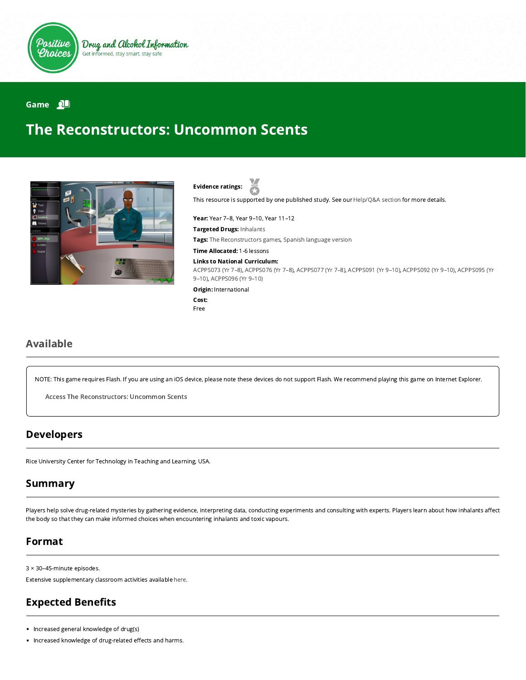

Drug and Alcohol Information Get informed, stay smart, stay safe

#### Game **N**

# The Reconstructors: Uncommon Scents



Evidence ratings:

This resource is supported by one published study. See our [Help/Q&A section](https://positivechoices.org.au/help/questions-and-answers/) for more details.

Year: Year 7–8, Year 9–10, Year 11–12 Targeted Drugs: Inhalants Tags: The Reconstructors games, Spanish language version

Time Allocated: 1-6 lessons

#### Links to National Curriculum:

[ACPPS073 \(Yr 7–8](http://www.australiancurriculum.edu.au/Curriculum/ContentDescription/ACPPS073)[\),](http://www.australiancurriculum.edu.au/Curriculum/ContentDescription/ACPPS095) [ACPPS076 \(Yr 7–8](http://www.australiancurriculum.edu.au/Curriculum/ContentDescription/ACPPS076)[\), A](http://www.australiancurriculum.edu.au/Curriculum/ContentDescription/ACPPS095)[CPPS077 \(Yr 7–8](http://www.australiancurriculum.edu.au/Curriculum/ContentDescription/ACPPS077)[\),](http://www.australiancurriculum.edu.au/Curriculum/ContentDescription/ACPPS095) [ACPPS091 \(Yr 9–10](http://www.australiancurriculum.edu.au/Curriculum/ContentDescription/ACPPS091)[\), A](http://www.australiancurriculum.edu.au/Curriculum/ContentDescription/ACPPS095)[CPPS092 \(Yr 9–10\)](http://www.australiancurriculum.edu.au/Curriculum/ContentDescription/ACPPS092)[, ACPPS095 \(Yr](http://www.australiancurriculum.edu.au/Curriculum/ContentDescription/ACPPS095) 9–10), [ACPPS096 \(Yr 9–10\)](http://www.australiancurriculum.edu.au/Curriculum/ContentDescription/ACPPS096)

Origin: International

Cost: Free

### Available

NOTE: This game requires Flash. If you are using an iOS device, please note these devices do not support Flash. We recommend playing this game on Internet Explorer.

Access The [Reconstructors:](http://webadventures.rice.edu/stu/Games/Reconstructors/_801/Game-Overview.html) Uncommon Scents

#### Developers

Rice University Center for Technology in Teaching and Learning, USA.

#### Summary

Players help solve drug-related mysteries by gathering evidence, interpreting data, conducting experiments and consulting with experts. Players learn about how inhalants affect the body so that they can make informed choices when encountering inhalants and toxic vapours.

#### Format

3 × 30–45-minute episodes.

Extensive supplementary classroom activities available [here.](http://webadventures.rice.edu/ed/Teacher-Resources/_games/Reconstructors/_801/Teacher-Materials.html)

# **Expected Benefits**

• Increased general knowledge of drug(s)

• Increased knowledge of drug-related effects and harms.